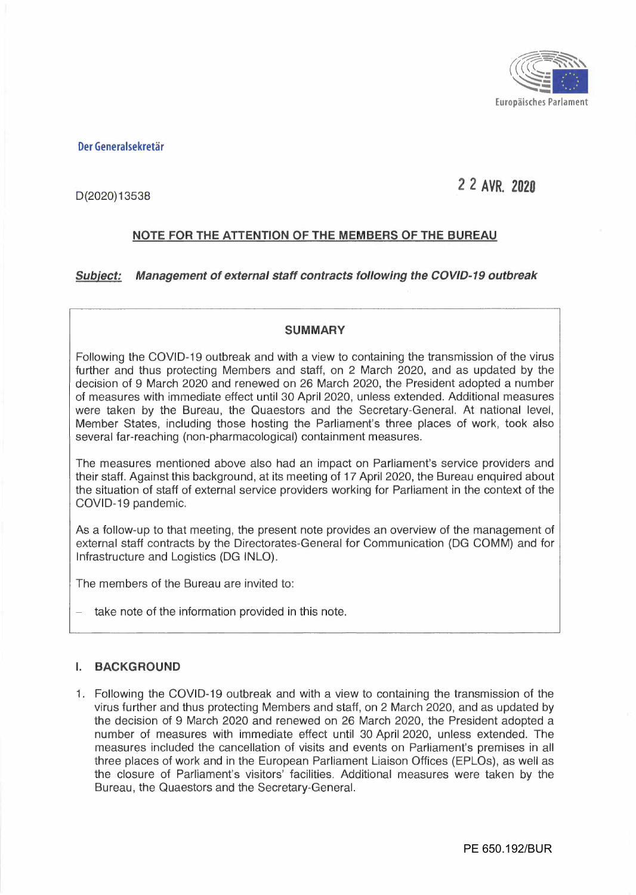

**Der Generalsekretär** 

# **2** *2* **AVR. 2020**

D (2020) 13538

# **NOTE FOR THE ATTENTION OF THE MEMBERS OF THE BUREAU**

*Subiect: Management of external staff contracts following the COVID-19 outbreak* 

#### **SUMMARY**

Following the COVID-19 outbreak and with a view to containing the transmission of the virus further and thus protecting Members and staff, on 2 March 2020, and as updated by the decision of 9 March 2020 and renewed on 26 March 2020, the President adopted a number of measures with immediate effect until 30 April 2020, unless extended. Additional measures were taken by the Bureau, the Quaestors and the Secretary-General. At national level, Member States, including those hosting the Parliament's three places of work, took also several far-reaching (non-pharmacological) containment measures.

The measures mentioned above also had an impact on Parliament's service providers and their staff. Against this background, at its meeting of 17 April 2020, the Bureau enquired about the situation of staff of external service providers working for Parliament in the context of the COVID-19 pandemic.

As a follow-up to that meeting, the present note provides an overview of the management of external staff contracts by the Directorates-General for Communication (DG COMM) and for Infrastructure and Logistics (DG INLO).

The members of the Bureau are invited to:

take note of the information provided in this note.

#### **I. BACKGROUND**

1. Following the COVID-19 outbreak and with a view to containing the transmission of the virus further and thus protecting Members and staff, on 2 March 2020, and as updated by the decision of 9 March 2020 and renewed on 26 March 2020, the President adopted a number of measures with immediate effect until 30 April 2020, unless extended. The measures included the cancellation of visits and events on Parliament's premises in all three places of work and in the European Parliament Liaison Offices (EPLOs), as well as the closure of Parliament's visitors' facilities. Additional measures were taken by the Bureau, the Quaestors and the Secretary-General.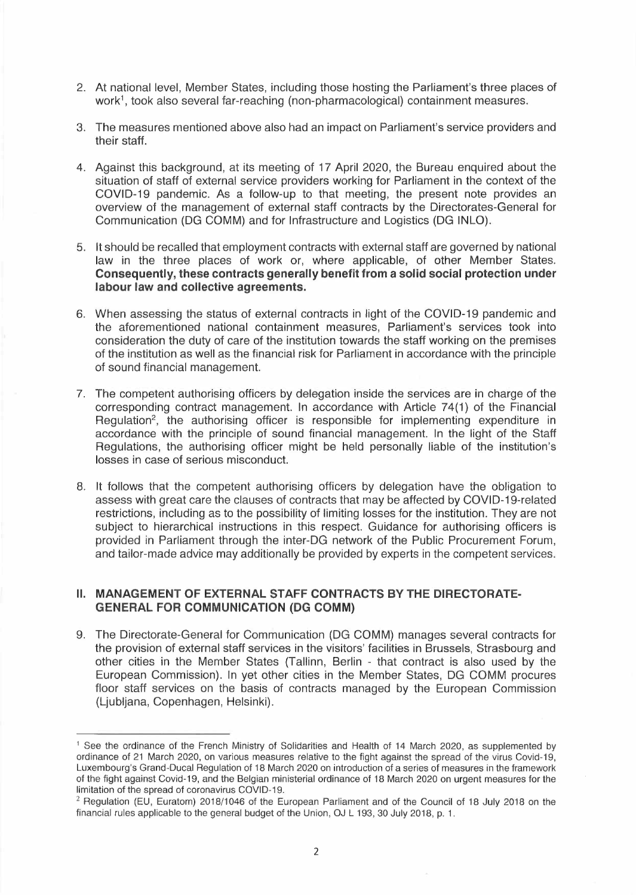- 2. At national level, Member States, including those hosting the Parliament's three places of work 1 , took also several far-reaching (non-pharmacological) containment measures.
- 3. The measures mentioned above also had an impact on Parliament's service providers and their staff.
- 4. Against this background, at its meeting of 17 April 2020, the Bureau enquired about the situation of staff of external service providers working for Parliament in the context of the COVID-19 pandemic. As a follow-up to that meeting, the present note provides an overview of the management of external staff contracts by the Directorates-General for Communication (DG COMM) and for Infrastructure and Logistics (DG INLO).
- 5. lt should be recalled that employment contracts with external staff are governed by national law in the three places of work or, where applicable, of other Member States. **Consequently, these contracts generally benefit from a solid social protection under labour law and collective agreements.**
- 6. When assessing the status of external contracts in light of the COVID-19 pandemic and the aforementioned national containment measures, Parliament's services took into consideration the duty of care of the institution towards the staff working on the premises of the institution as well as the financial risk for Parliament in accordance with the principle of sound financial management.
- 7. The competent authorising officers by delegation inside the services are in charge of the corresponding contract management. ln accordance with Article 74(1) of the Financial Regulation<sup>2</sup>, the authorising officer is responsible for implementing expenditure in accordance with the principle of sound financial management. ln the light of the Staff Regulations, the authorising officer might be held personally liable of the institution's losses in case of serious misconduct.
- 8. lt follows that the competent authorising officers by delegation have the obligation to assess with great care the clauses of contracts that may be affected by COVID-19-related restrictions, including as to the possibility of limiting losses for the institution. They are not subject to hierarchical instructions in this respect. Guidance for authorising officers is provided in Parliament through the inter-DG network of the Public Procurement Forum, and tailor-made advice may additionally be provided by experts in the competent services.

## **li. MANAGEMENT OF EXTERNAL STAFF CONTRACTS BY THE DIRECTORATE-GENERAL FOR COMMUNICATION (DG COMM)**

9. The Directorate-General for Communication (DG COMM) manages several contracts for the provision of external staff services in the visitors' facilities in Brussels, Strasbourg and other cities in the Member States (Tallinn, Berlin - that contract is also used by the European Commission). ln yet other cities in the Member States, DG COMM procures floor staff services on the basis of contracts managed by the European Commission (Ljubljana, Copenhagen, Helsinki).

<sup>&</sup>lt;sup>1</sup> See the ordinance of the French Ministry of Solidarities and Health of 14 March 2020, as supplemented by ordinance of 21 March 2020, on various measures relative to the fight against the spread of the virus Covid-19, Luxembourg's Grand-Ducal Regulation of 18 March 2020 on introduction of a series of measures in the framework of the fight against Covid-19, and the Belgian ministerial ordinance of 18 March 2020 on urgent measures for the limitation of the spread of coronavirus COVID-19.

<sup>&</sup>lt;sup>2</sup> Regulation (EU, Euratom) 2018/1046 of the European Parliament and of the Council of 18 July 2018 on the financial rules applicable to the general budget of the Union, OJ L 193, 30 July 2018, p. 1.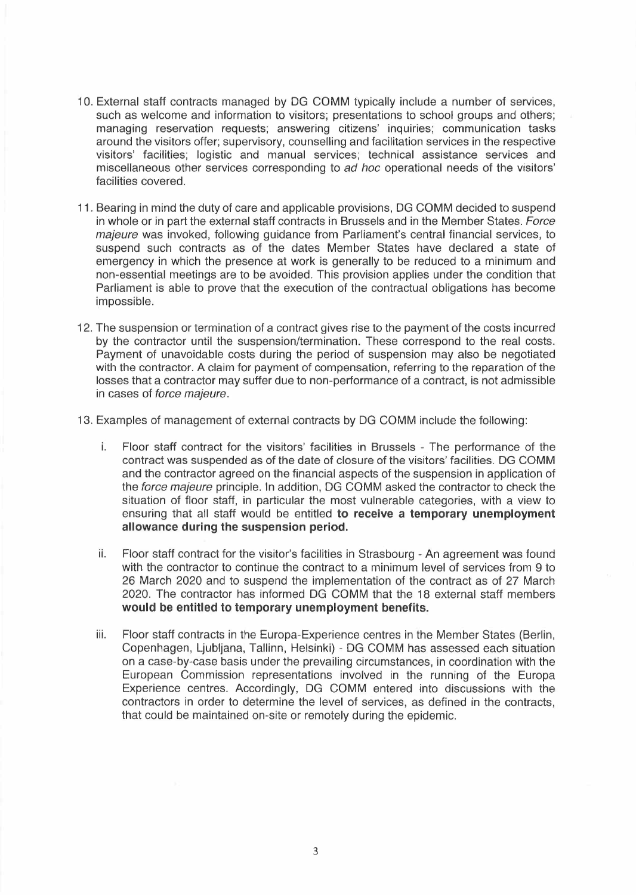- 1 O. External staff contracts managed by DG COMM typically include a number of services, such as welcome and information to visitors; presentations to school groups and others; managing reservation requests; answering citizens' inquiries; communication tasks around the visitors offer; supervisory, counselling and facilitation services in the respective visitors' facilities; logistic and manual services; technical assistance services and miscellaneous other services corresponding to *ad hoc* operational needs of the visitors' facilities covered.
- 11. Bearing in mind the duty of care and applicable provisions, DG COMM decided to suspend in whole or in part the external staff contracts in Brussels and in the Member States. *Force majeure* was invoked, following guidance from Parliament's central financial services, to suspend such contracts as of the dates Member States have declared a state of emergency in which the presence at work is generally to be reduced to a minimum and non-essential meetings are to be avoided. This provision applies under the condition that Parliament is able to prove that the execution of the contractual obligations has become impossible.
- 12. The suspension or termination of a contract gives rise to the payment of the costs incurred by the contractor until the suspension/termination. These correspond to the real costs. Payment of unavoidable costs during the period of suspension may also be negotiated with the contractor. A claim for payment of compensation, referring to the reparation of the losses that a contractor may suffer due to non-performance of a contract, is not admissible in cases of *force majeure.*
- 13. Examples of management of external contracts by DG COMM include the following:
	- i. Floor staff contract for the visitors' facilities in Brussels The performance of the contract was suspended as of the date of closure of the visitors' facilities. DG COMM and the contractor agreed on the financial aspects of the suspension in application of the *force majeure* principle. ln addition, DG COMM asked the contractor to check the situation of floor staff, in particular the most vulnerable categories, with a view to ensuring that all staff would be entitled **to receive a temporary unemployment allowance during the suspension period.**
	- ii. Floor staff contract for the visitor's facilities in Strasbourg An agreement was found with the contractor to continue the contract to a minimum level of services from 9 to 26 March 2020 and to suspend the implementation of the contract as of 27 March 2020. The contractor has informed DG COMM that the 18 external staff members **would be entitled to temporary unemployment benefits.**
	- iii. Floor staff contracts in the Europa-Experience centres in the Member States (Berlin, Copenhagen, Ljubljana, Tallinn, Helsinki) - DG COMM has assessed each situation on a case-by-case basis under the prevailing circumstances, in coordination with the European Commission representations involved in the running of the Europa Experience centres. Accordingly, DG COMM entered into discussions with the contractors in order to determine the level of services, as defined in the contracts, that could be maintained on-site or remotely during the epidemic.